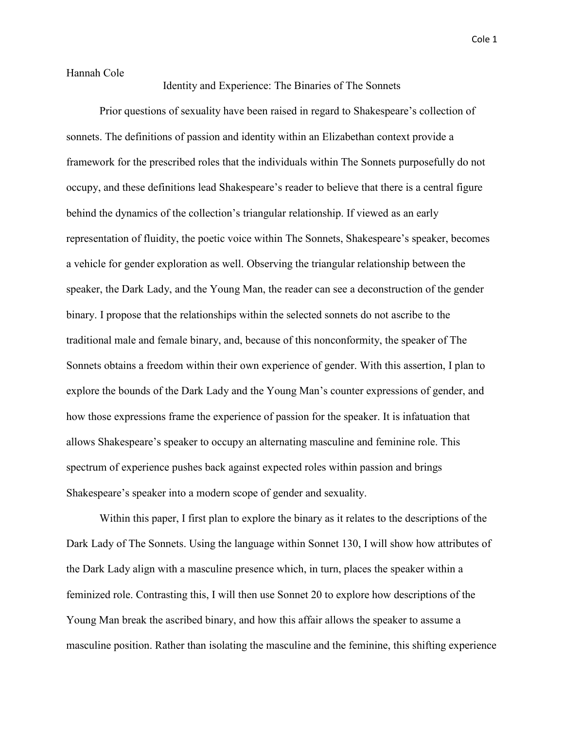Cole 1

Hannah Cole

Identity and Experience: The Binaries of The Sonnets

Prior questions of sexuality have been raised in regard to Shakespeare's collection of sonnets. The definitions of passion and identity within an Elizabethan context provide a framework for the prescribed roles that the individuals within The Sonnets purposefully do not occupy, and these definitions lead Shakespeare's reader to believe that there is a central figure behind the dynamics of the collection's triangular relationship. If viewed as an early representation of fluidity, the poetic voice within The Sonnets, Shakespeare's speaker, becomes a vehicle for gender exploration as well. Observing the triangular relationship between the speaker, the Dark Lady, and the Young Man, the reader can see a deconstruction of the gender binary. I propose that the relationships within the selected sonnets do not ascribe to the traditional male and female binary, and, because of this nonconformity, the speaker of The Sonnets obtains a freedom within their own experience of gender. With this assertion, I plan to explore the bounds of the Dark Lady and the Young Man's counter expressions of gender, and how those expressions frame the experience of passion for the speaker. It is infatuation that allows Shakespeare's speaker to occupy an alternating masculine and feminine role. This spectrum of experience pushes back against expected roles within passion and brings Shakespeare's speaker into a modern scope of gender and sexuality.

Within this paper, I first plan to explore the binary as it relates to the descriptions of the Dark Lady of The Sonnets. Using the language within Sonnet 130, I will show how attributes of the Dark Lady align with a masculine presence which, in turn, places the speaker within a feminized role. Contrasting this, I will then use Sonnet 20 to explore how descriptions of the Young Man break the ascribed binary, and how this affair allows the speaker to assume a masculine position. Rather than isolating the masculine and the feminine, this shifting experience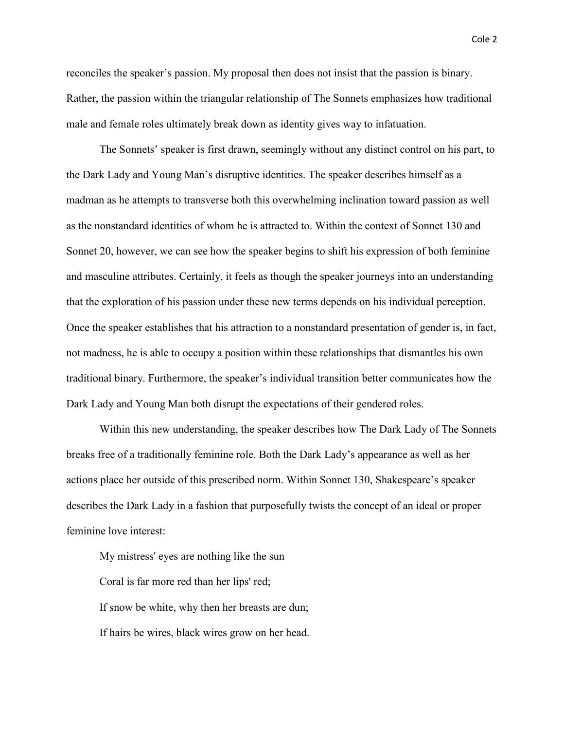reconciles the speaker's passion. My proposal then does not insist that the passion is binary. Rather, the passion within the triangular relationship of The Sonnets emphasizes how traditional male and female roles ultimately break down as identity gives way to infatuation.

The Sonnets' speaker is first drawn, seemingly without any distinct control on his part, to the Dark Lady and Young Man's disruptive identities. The speaker describes himself as a madman as he attempts to transverse both this overwhelming inclination toward passion as well as the nonstandard identities of whom he is attracted to. Within the context of Sonnet 130 and Sonnet 20, however, we can see how the speaker begins to shift his expression of both feminine and masculine attributes. Certainly, it feels as though the speaker journeys into an understanding that the exploration of his passion under these new terms depends on his individual perception. Once the speaker establishes that his attraction to a nonstandard presentation of gender is, in fact, not madness, he is able to occupy a position within these relationships that dismantles his own traditional binary. Furthermore, the speaker's individual transition better communicates how the Dark Lady and Young Man both disrupt the expectations of their gendered roles.

Within this new understanding, the speaker describes how The Dark Lady of The Sonnets breaks free of a traditionally feminine role. Both the Dark Lady's appearance as well as her actions place her outside of this prescribed norm. Within Sonnet 130, Shakespeare's speaker describes the Dark Lady in a fashion that purposefully twists the concept of an ideal or proper feminine love interest:

My mistress' eyes are nothing like the sun Coral is far more red than her lips' red; If snow be white, why then her breasts are dun; If hairs be wires, black wires grow on her head.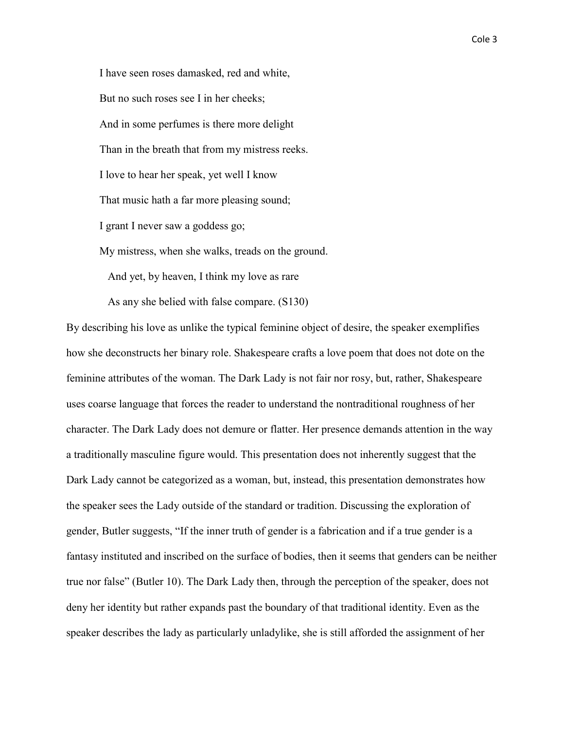I have seen roses damasked, red and white, But no such roses see I in her cheeks; And in some perfumes is there more delight Than in the breath that from my mistress reeks. I love to hear her speak, yet well I know That music hath a far more pleasing sound; I grant I never saw a goddess go; My mistress, when she walks, treads on the ground. And yet, by heaven, I think my love as rare As any she belied with false compare. (S130)

By describing his love as unlike the typical feminine object of desire, the speaker exemplifies how she deconstructs her binary role. Shakespeare crafts a love poem that does not dote on the feminine attributes of the woman. The Dark Lady is not fair nor rosy, but, rather, Shakespeare uses coarse language that forces the reader to understand the nontraditional roughness of her character. The Dark Lady does not demure or flatter. Her presence demands attention in the way a traditionally masculine figure would. This presentation does not inherently suggest that the Dark Lady cannot be categorized as a woman, but, instead, this presentation demonstrates how the speaker sees the Lady outside of the standard or tradition. Discussing the exploration of gender, Butler suggests, "If the inner truth of gender is a fabrication and if a true gender is a fantasy instituted and inscribed on the surface of bodies, then it seems that genders can be neither true nor false" (Butler 10). The Dark Lady then, through the perception of the speaker, does not deny her identity but rather expands past the boundary of that traditional identity. Even as the speaker describes the lady as particularly unladylike, she is still afforded the assignment of her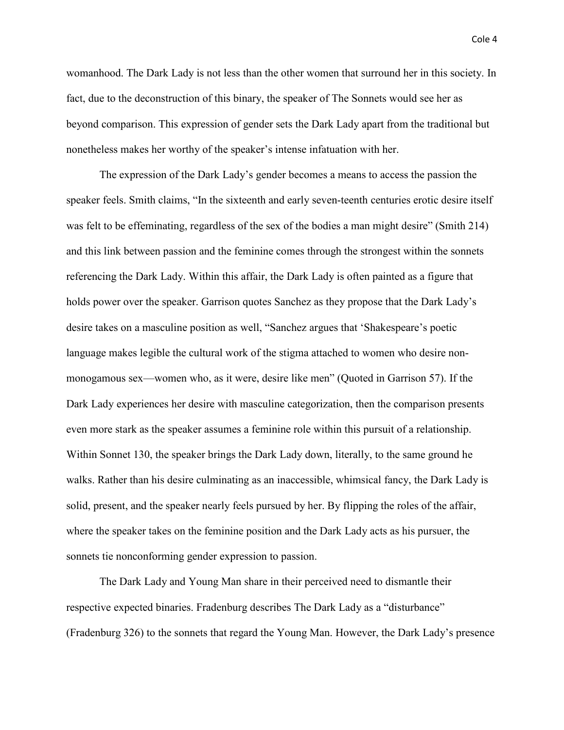womanhood. The Dark Lady is not less than the other women that surround her in this society. In fact, due to the deconstruction of this binary, the speaker of The Sonnets would see her as beyond comparison. This expression of gender sets the Dark Lady apart from the traditional but nonetheless makes her worthy of the speaker's intense infatuation with her.

The expression of the Dark Lady's gender becomes a means to access the passion the speaker feels. Smith claims, "In the sixteenth and early seven-teenth centuries erotic desire itself was felt to be effeminating, regardless of the sex of the bodies a man might desire" (Smith 214) and this link between passion and the feminine comes through the strongest within the sonnets referencing the Dark Lady. Within this affair, the Dark Lady is often painted as a figure that holds power over the speaker. Garrison quotes Sanchez as they propose that the Dark Lady's desire takes on a masculine position as well, "Sanchez argues that 'Shakespeare's poetic language makes legible the cultural work of the stigma attached to women who desire nonmonogamous sex—women who, as it were, desire like men" (Quoted in Garrison 57). If the Dark Lady experiences her desire with masculine categorization, then the comparison presents even more stark as the speaker assumes a feminine role within this pursuit of a relationship. Within Sonnet 130, the speaker brings the Dark Lady down, literally, to the same ground he walks. Rather than his desire culminating as an inaccessible, whimsical fancy, the Dark Lady is solid, present, and the speaker nearly feels pursued by her. By flipping the roles of the affair, where the speaker takes on the feminine position and the Dark Lady acts as his pursuer, the sonnets tie nonconforming gender expression to passion.

The Dark Lady and Young Man share in their perceived need to dismantle their respective expected binaries. Fradenburg describes The Dark Lady as a "disturbance" (Fradenburg 326) to the sonnets that regard the Young Man. However, the Dark Lady's presence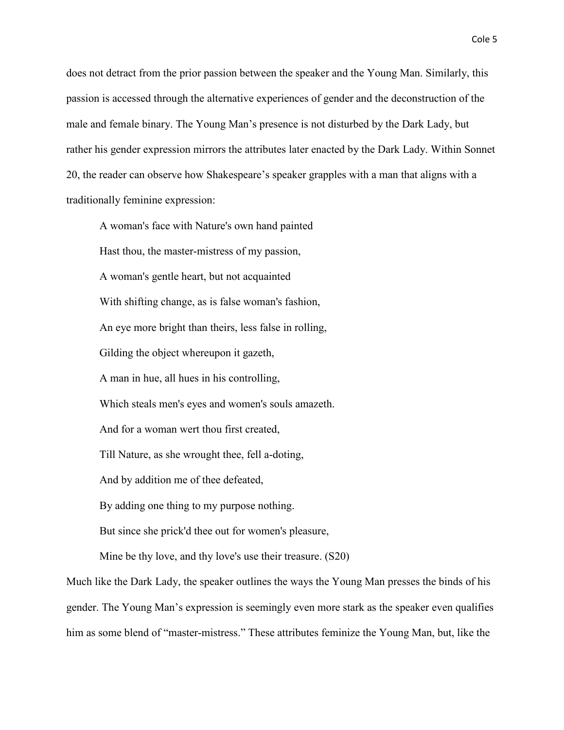does not detract from the prior passion between the speaker and the Young Man. Similarly, this passion is accessed through the alternative experiences of gender and the deconstruction of the male and female binary. The Young Man's presence is not disturbed by the Dark Lady, but rather his gender expression mirrors the attributes later enacted by the Dark Lady. Within Sonnet 20, the reader can observe how Shakespeare's speaker grapples with a man that aligns with a traditionally feminine expression:

A woman's face with Nature's own hand painted Hast thou, the master-mistress of my passion, A woman's gentle heart, but not acquainted With shifting change, as is false woman's fashion, An eye more bright than theirs, less false in rolling, Gilding the object whereupon it gazeth, A man in hue, all hues in his controlling, Which steals men's eyes and women's souls amazeth. And for a woman wert thou first created, Till Nature, as she wrought thee, fell a-doting, And by addition me of thee defeated, By adding one thing to my purpose nothing. But since she prick'd thee out for women's pleasure, Mine be thy love, and thy love's use their treasure. (S20)

Much like the Dark Lady, the speaker outlines the ways the Young Man presses the binds of his gender. The Young Man's expression is seemingly even more stark as the speaker even qualifies him as some blend of "master-mistress." These attributes feminize the Young Man, but, like the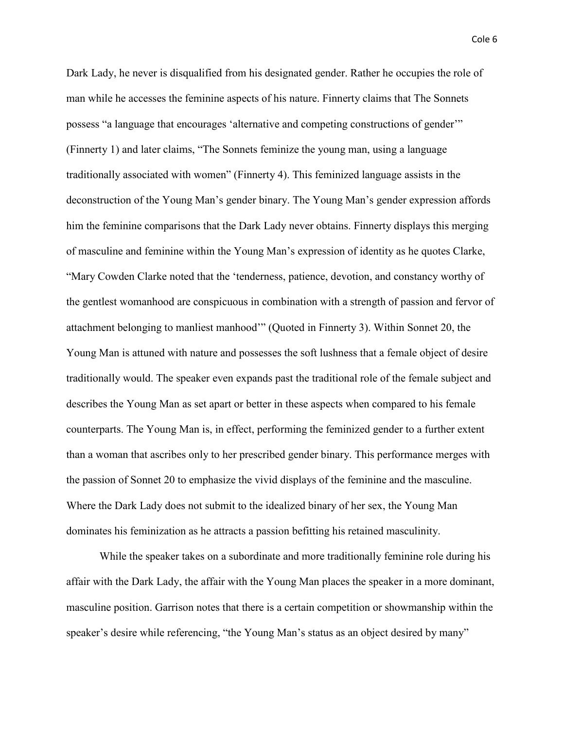Dark Lady, he never is disqualified from his designated gender. Rather he occupies the role of man while he accesses the feminine aspects of his nature. Finnerty claims that The Sonnets possess "a language that encourages 'alternative and competing constructions of gender'" (Finnerty 1) and later claims, "The Sonnets feminize the young man, using a language traditionally associated with women" (Finnerty 4). This feminized language assists in the deconstruction of the Young Man's gender binary. The Young Man's gender expression affords him the feminine comparisons that the Dark Lady never obtains. Finnerty displays this merging of masculine and feminine within the Young Man's expression of identity as he quotes Clarke, "Mary Cowden Clarke noted that the 'tenderness, patience, devotion, and constancy worthy of the gentlest womanhood are conspicuous in combination with a strength of passion and fervor of attachment belonging to manliest manhood'" (Quoted in Finnerty 3). Within Sonnet 20, the Young Man is attuned with nature and possesses the soft lushness that a female object of desire traditionally would. The speaker even expands past the traditional role of the female subject and describes the Young Man as set apart or better in these aspects when compared to his female counterparts. The Young Man is, in effect, performing the feminized gender to a further extent than a woman that ascribes only to her prescribed gender binary. This performance merges with the passion of Sonnet 20 to emphasize the vivid displays of the feminine and the masculine. Where the Dark Lady does not submit to the idealized binary of her sex, the Young Man dominates his feminization as he attracts a passion befitting his retained masculinity.

While the speaker takes on a subordinate and more traditionally feminine role during his affair with the Dark Lady, the affair with the Young Man places the speaker in a more dominant, masculine position. Garrison notes that there is a certain competition or showmanship within the speaker's desire while referencing, "the Young Man's status as an object desired by many"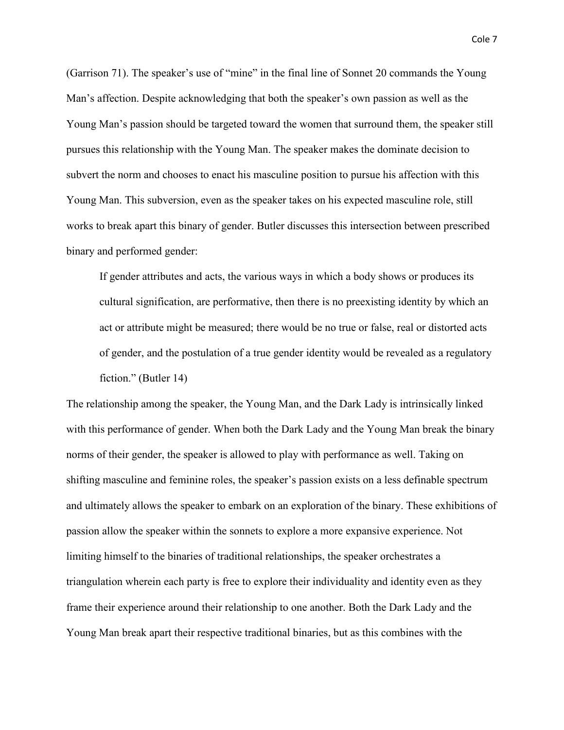(Garrison 71). The speaker's use of "mine" in the final line of Sonnet 20 commands the Young Man's affection. Despite acknowledging that both the speaker's own passion as well as the Young Man's passion should be targeted toward the women that surround them, the speaker still pursues this relationship with the Young Man. The speaker makes the dominate decision to subvert the norm and chooses to enact his masculine position to pursue his affection with this Young Man. This subversion, even as the speaker takes on his expected masculine role, still works to break apart this binary of gender. Butler discusses this intersection between prescribed binary and performed gender:

If gender attributes and acts, the various ways in which a body shows or produces its cultural signification, are performative, then there is no preexisting identity by which an act or attribute might be measured; there would be no true or false, real or distorted acts of gender, and the postulation of a true gender identity would be revealed as a regulatory fiction." (Butler 14)

The relationship among the speaker, the Young Man, and the Dark Lady is intrinsically linked with this performance of gender. When both the Dark Lady and the Young Man break the binary norms of their gender, the speaker is allowed to play with performance as well. Taking on shifting masculine and feminine roles, the speaker's passion exists on a less definable spectrum and ultimately allows the speaker to embark on an exploration of the binary. These exhibitions of passion allow the speaker within the sonnets to explore a more expansive experience. Not limiting himself to the binaries of traditional relationships, the speaker orchestrates a triangulation wherein each party is free to explore their individuality and identity even as they frame their experience around their relationship to one another. Both the Dark Lady and the Young Man break apart their respective traditional binaries, but as this combines with the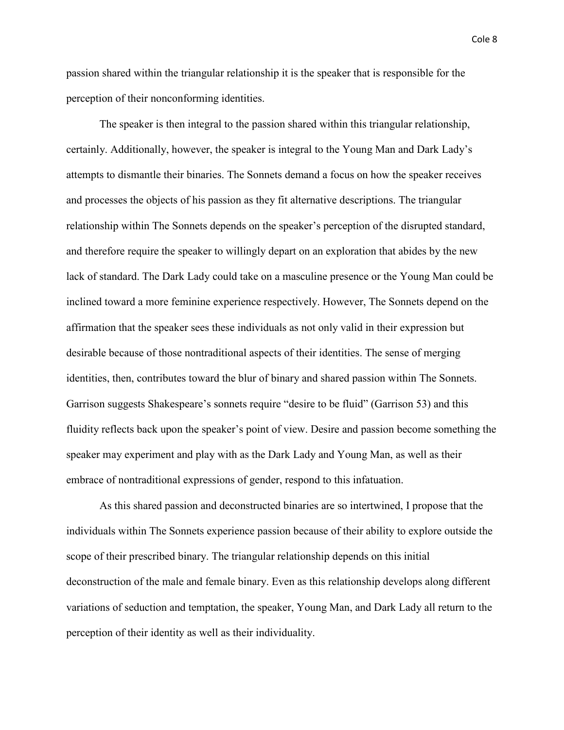passion shared within the triangular relationship it is the speaker that is responsible for the perception of their nonconforming identities.

The speaker is then integral to the passion shared within this triangular relationship, certainly. Additionally, however, the speaker is integral to the Young Man and Dark Lady's attempts to dismantle their binaries. The Sonnets demand a focus on how the speaker receives and processes the objects of his passion as they fit alternative descriptions. The triangular relationship within The Sonnets depends on the speaker's perception of the disrupted standard, and therefore require the speaker to willingly depart on an exploration that abides by the new lack of standard. The Dark Lady could take on a masculine presence or the Young Man could be inclined toward a more feminine experience respectively. However, The Sonnets depend on the affirmation that the speaker sees these individuals as not only valid in their expression but desirable because of those nontraditional aspects of their identities. The sense of merging identities, then, contributes toward the blur of binary and shared passion within The Sonnets. Garrison suggests Shakespeare's sonnets require "desire to be fluid" (Garrison 53) and this fluidity reflects back upon the speaker's point of view. Desire and passion become something the speaker may experiment and play with as the Dark Lady and Young Man, as well as their embrace of nontraditional expressions of gender, respond to this infatuation.

As this shared passion and deconstructed binaries are so intertwined, I propose that the individuals within The Sonnets experience passion because of their ability to explore outside the scope of their prescribed binary. The triangular relationship depends on this initial deconstruction of the male and female binary. Even as this relationship develops along different variations of seduction and temptation, the speaker, Young Man, and Dark Lady all return to the perception of their identity as well as their individuality.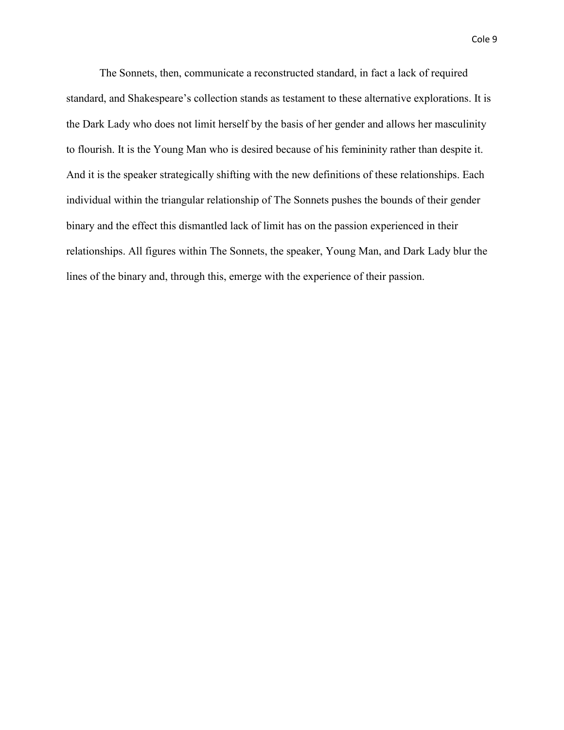Cole 9

The Sonnets, then, communicate a reconstructed standard, in fact a lack of required standard, and Shakespeare's collection stands as testament to these alternative explorations. It is the Dark Lady who does not limit herself by the basis of her gender and allows her masculinity to flourish. It is the Young Man who is desired because of his femininity rather than despite it. And it is the speaker strategically shifting with the new definitions of these relationships. Each individual within the triangular relationship of The Sonnets pushes the bounds of their gender binary and the effect this dismantled lack of limit has on the passion experienced in their relationships. All figures within The Sonnets, the speaker, Young Man, and Dark Lady blur the lines of the binary and, through this, emerge with the experience of their passion.